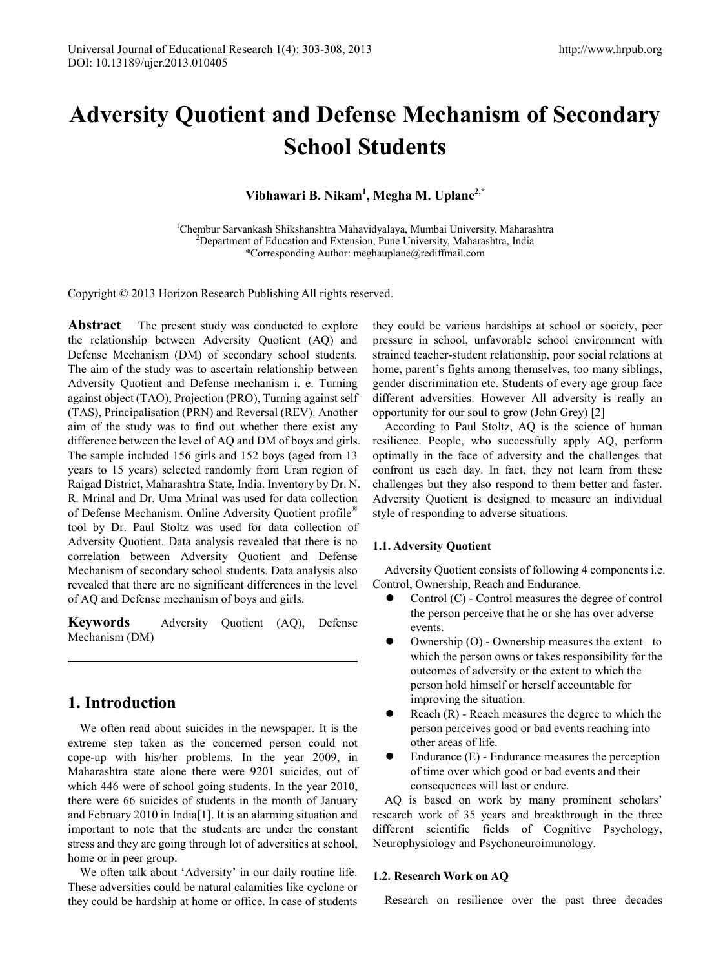# **Adversity Quotient and Defense Mechanism of Secondary School Students**

**Vibhawari B. Nikam<sup>1</sup> , Megha M. Uplane2,\***

<sup>1</sup>Chembur Sarvankash Shikshanshtra Mahavidyalaya, Mumbai University, Maharashtra<br><sup>2</sup>Department of Education and Extension, Pune University, Maharashtra India <sup>2</sup>Department of Education and Extension, Pune University, Maharashtra, India \*Corresponding Author: meghauplane@rediffmail.com

Copyright © 2013 Horizon Research Publishing All rights reserved.

**Abstract** The present study was conducted to explore the relationship between Adversity Quotient (AQ) and Defense Mechanism (DM) of secondary school students. The aim of the study was to ascertain relationship between Adversity Quotient and Defense mechanism i. e. Turning against object (TAO), Projection (PRO), Turning against self (TAS), Principalisation (PRN) and Reversal (REV). Another aim of the study was to find out whether there exist any difference between the level of AQ and DM of boys and girls. The sample included 156 girls and 152 boys (aged from 13 years to 15 years) selected randomly from Uran region of Raigad District, Maharashtra State, India. Inventory by Dr. N. R. Mrinal and Dr. Uma Mrinal was used for data collection of Defense Mechanism. Online Adversity Quotient profile® tool by Dr. Paul Stoltz was used for data collection of Adversity Quotient. Data analysis revealed that there is no correlation between Adversity Quotient and Defense Mechanism of secondary school students. Data analysis also revealed that there are no significant differences in the level of AQ and Defense mechanism of boys and girls.

**Keywords** Adversity Quotient (AQ), Defense Mechanism (DM)

# **1. Introduction**

We often read about suicides in the newspaper. It is the extreme step taken as the concerned person could not cope-up with his/her problems. In the year 2009, in Maharashtra state alone there were 9201 suicides, out of which 446 were of school going students. In the year 2010, there were 66 suicides of students in the month of January and February 2010 in India[1]. It is an alarming situation and important to note that the students are under the constant stress and they are going through lot of adversities at school, home or in peer group.

We often talk about 'Adversity' in our daily routine life. These adversities could be natural calamities like cyclone or they could be hardship at home or office. In case of students

they could be various hardships at school or society, peer pressure in school, unfavorable school environment with strained teacher-student relationship, poor social relations at home, parent's fights among themselves, too many siblings, gender discrimination etc. Students of every age group face different adversities. However All adversity is really an opportunity for our soul to grow (John Grey) [2]

According to Paul Stoltz, AQ is the science of human resilience. People, who successfully apply AQ, perform optimally in the face of adversity and the challenges that confront us each day. In fact, they not learn from these challenges but they also respond to them better and faster. Adversity Quotient is designed to measure an individual style of responding to adverse situations.

## **1.1. Adversity Quotient**

Adversity Quotient consists of following 4 components i.e. Control, Ownership, Reach and Endurance.

- Control (C) Control measures the degree of control the person perceive that he or she has over adverse events.
- Ownership (O) Ownership measures the extent to which the person owns or takes responsibility for the outcomes of adversity or the extent to which the person hold himself or herself accountable for improving the situation.
- Reach (R) Reach measures the degree to which the person perceives good or bad events reaching into other areas of life.
- Endurance (E) Endurance measures the perception of time over which good or bad events and their consequences will last or endure.

AQ is based on work by many prominent scholars' research work of 35 years and breakthrough in the three different scientific fields of Cognitive Psychology, Neurophysiology and Psychoneuroimunology.

## **1.2. Research Work on AQ**

Research on resilience over the past three decades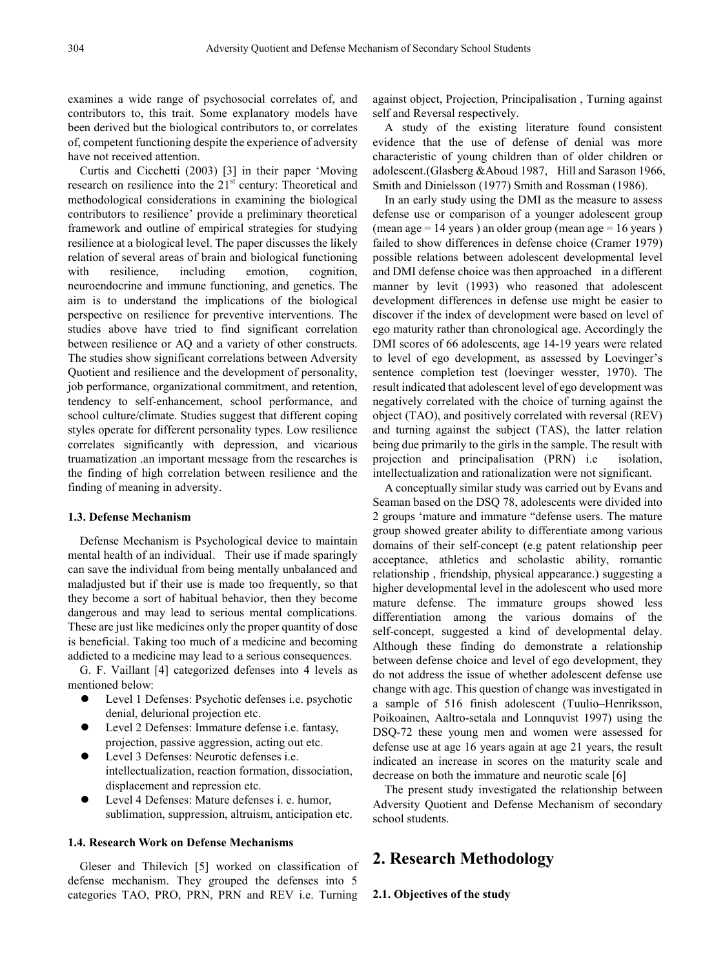examines a wide range of psychosocial correlates of, and contributors to, this trait. Some explanatory models have been derived but the biological contributors to, or correlates of, competent functioning despite the experience of adversity have not received attention.

Curtis and Cicchetti (2003) [3] in their paper 'Moving research on resilience into the 21<sup>st</sup> century: Theoretical and methodological considerations in examining the biological contributors to resilience' provide a preliminary theoretical framework and outline of empirical strategies for studying resilience at a biological level. The paper discusses the likely relation of several areas of brain and biological functioning with resilience, including emotion, cognition, neuroendocrine and immune functioning, and genetics. The aim is to understand the implications of the biological perspective on resilience for preventive interventions. The studies above have tried to find significant correlation between resilience or AQ and a variety of other constructs. The studies show significant correlations between Adversity Quotient and resilience and the development of personality, job performance, organizational commitment, and retention, tendency to self-enhancement, school performance, and school culture/climate. Studies suggest that different coping styles operate for different personality types. Low resilience correlates significantly with depression, and vicarious truamatization .an important message from the researches is the finding of high correlation between resilience and the finding of meaning in adversity.

#### **1.3. Defense Mechanism**

Defense Mechanism is Psychological device to maintain mental health of an individual. Their use if made sparingly can save the individual from being mentally unbalanced and maladjusted but if their use is made too frequently, so that they become a sort of habitual behavior, then they become dangerous and may lead to serious mental complications. These are just like medicines only the proper quantity of dose is beneficial. Taking too much of a medicine and becoming addicted to a medicine may lead to a serious consequences.

G. F. Vaillant [4] categorized defenses into 4 levels as mentioned below:

- Level 1 Defenses: Psychotic defenses i.e. psychotic denial, delurional projection etc.
- Level 2 Defenses: Immature defense i.e. fantasy, projection, passive aggression, acting out etc.
- Level 3 Defenses: Neurotic defenses i.e. intellectualization, reaction formation, dissociation, displacement and repression etc.
- Level 4 Defenses: Mature defenses i. e. humor, sublimation, suppression, altruism, anticipation etc.

#### **1.4. Research Work on Defense Mechanisms**

Gleser and Thilevich [5] worked on classification of defense mechanism. They grouped the defenses into 5 categories TAO, PRO, PRN, PRN and REV i.e. Turning against object, Projection, Principalisation , Turning against self and Reversal respectively.

A study of the existing literature found consistent evidence that the use of defense of denial was more characteristic of young children than of older children or adolescent.(Glasberg &Aboud 1987, Hill and Sarason 1966, Smith and Dinielsson (1977) Smith and Rossman (1986).

In an early study using the DMI as the measure to assess defense use or comparison of a younger adolescent group (mean age  $= 14$  years) an older group (mean age  $= 16$  years) failed to show differences in defense choice (Cramer 1979) possible relations between adolescent developmental level and DMI defense choice was then approached in a different manner by levit (1993) who reasoned that adolescent development differences in defense use might be easier to discover if the index of development were based on level of ego maturity rather than chronological age. Accordingly the DMI scores of 66 adolescents, age 14-19 years were related to level of ego development, as assessed by Loevinger's sentence completion test (loevinger wesster, 1970). The result indicated that adolescent level of ego development was negatively correlated with the choice of turning against the object (TAO), and positively correlated with reversal (REV) and turning against the subject (TAS), the latter relation being due primarily to the girls in the sample. The result with projection and principalisation (PRN) i.e isolation, intellectualization and rationalization were not significant.

A conceptually similar study was carried out by Evans and Seaman based on the DSQ 78, adolescents were divided into 2 groups 'mature and immature "defense users. The mature group showed greater ability to differentiate among various domains of their self-concept (e.g patent relationship peer acceptance, athletics and scholastic ability, romantic relationship , friendship, physical appearance.) suggesting a higher developmental level in the adolescent who used more mature defense. The immature groups showed less differentiation among the various domains of the self-concept, suggested a kind of developmental delay. Although these finding do demonstrate a relationship between defense choice and level of ego development, they do not address the issue of whether adolescent defense use change with age. This question of change was investigated in a sample of 516 finish adolescent (Tuulio–Henriksson, Poikoainen, Aaltro-setala and Lonnquvist 1997) using the DSQ-72 these young men and women were assessed for defense use at age 16 years again at age 21 years, the result indicated an increase in scores on the maturity scale and decrease on both the immature and neurotic scale [6]

The present study investigated the relationship between Adversity Quotient and Defense Mechanism of secondary school students.

## **2. Research Methodology**

**2.1. Objectives of the study**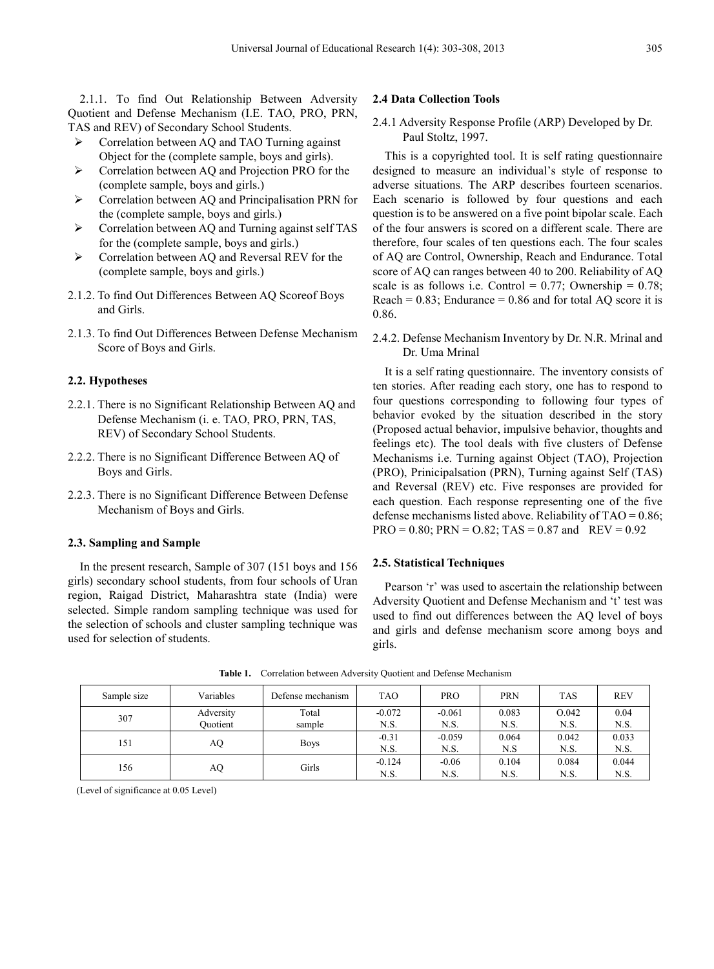2.1.1. To find Out Relationship Between Adversity Quotient and Defense Mechanism (I.E. TAO, PRO, PRN, TAS and REV) of Secondary School Students.

- Correlation between AQ and TAO Turning against Object for the (complete sample, boys and girls).
- Correlation between AQ and Projection PRO for the (complete sample, boys and girls.)
- $\triangleright$  Correlation between AQ and Principalisation PRN for the (complete sample, boys and girls.)
- $\triangleright$  Correlation between AQ and Turning against self TAS for the (complete sample, boys and girls.)
- $\triangleright$  Correlation between AQ and Reversal REV for the (complete sample, boys and girls.)
- 2.1.2. To find Out Differences Between AQ Scoreof Boys and Girls.
- 2.1.3. To find Out Differences Between Defense Mechanism Score of Boys and Girls.

#### **2.2. Hypotheses**

- 2.2.1. There is no Significant Relationship Between AQ and Defense Mechanism (i. e. TAO, PRO, PRN, TAS, REV) of Secondary School Students.
- 2.2.2. There is no Significant Difference Between AQ of Boys and Girls.
- 2.2.3. There is no Significant Difference Between Defense Mechanism of Boys and Girls.

#### **2.3. Sampling and Sample**

In the present research, Sample of 307 (151 boys and 156 girls) secondary school students, from four schools of Uran region, Raigad District, Maharashtra state (India) were selected. Simple random sampling technique was used for the selection of schools and cluster sampling technique was used for selection of students.

#### **2.4 Data Collection Tools**

2.4.1 Adversity Response Profile (ARP) Developed by Dr. Paul Stoltz, 1997.

This is a copyrighted tool. It is self rating questionnaire designed to measure an individual's style of response to adverse situations. The ARP describes fourteen scenarios. Each scenario is followed by four questions and each question is to be answered on a five point bipolar scale. Each of the four answers is scored on a different scale. There are therefore, four scales of ten questions each. The four scales of AQ are Control, Ownership, Reach and Endurance. Total score of AQ can ranges between 40 to 200. Reliability of AQ scale is as follows i.e. Control =  $0.77$ ; Ownership =  $0.78$ ; Reach =  $0.83$ ; Endurance =  $0.86$  and for total AO score it is 0.86.

2.4.2. Defense Mechanism Inventory by Dr. N.R. Mrinal and Dr. Uma Mrinal

It is a self rating questionnaire. The inventory consists of ten stories. After reading each story, one has to respond to four questions corresponding to following four types of behavior evoked by the situation described in the story (Proposed actual behavior, impulsive behavior, thoughts and feelings etc). The tool deals with five clusters of Defense Mechanisms i.e. Turning against Object (TAO), Projection (PRO), Prinicipalsation (PRN), Turning against Self (TAS) and Reversal (REV) etc. Five responses are provided for each question. Each response representing one of the five defense mechanisms listed above. Reliability of  $TAO = 0.86$ ;  $PRO = 0.80$ ;  $PRN = 0.82$ ;  $TAS = 0.87$  and  $REV = 0.92$ 

#### **2.5. Statistical Techniques**

Pearson 'r' was used to ascertain the relationship between Adversity Quotient and Defense Mechanism and 't' test was used to find out differences between the AQ level of boys and girls and defense mechanism score among boys and girls.

| Sample size | Variables | Defense mechanism | <b>TAO</b> | <b>PRO</b> | <b>PRN</b> | <b>TAS</b> | <b>REV</b> |
|-------------|-----------|-------------------|------------|------------|------------|------------|------------|
| 307         | Adversity | Total             | $-0.072$   | $-0.061$   | 0.083      | O.042      | 0.04       |
|             | Ouotient  | sample            | N.S.       | N.S.       | N.S.       | N.S.       | N.S.       |
| 151         | AQ        | <b>Boys</b>       | $-0.31$    | $-0.059$   | 0.064      | 0.042      | 0.033      |
|             |           |                   | N.S.       | N.S.       | N.S        | N.S.       | N.S.       |
| 156         | AQ        | Girls             | $-0.124$   | $-0.06$    | 0.104      | 0.084      | 0.044      |
|             |           |                   | N.S.       | N.S.       | N.S.       | N.S.       | N.S.       |

**Table 1.** Correlation between Adversity Quotient and Defense Mechanism

(Level of significance at 0.05 Level)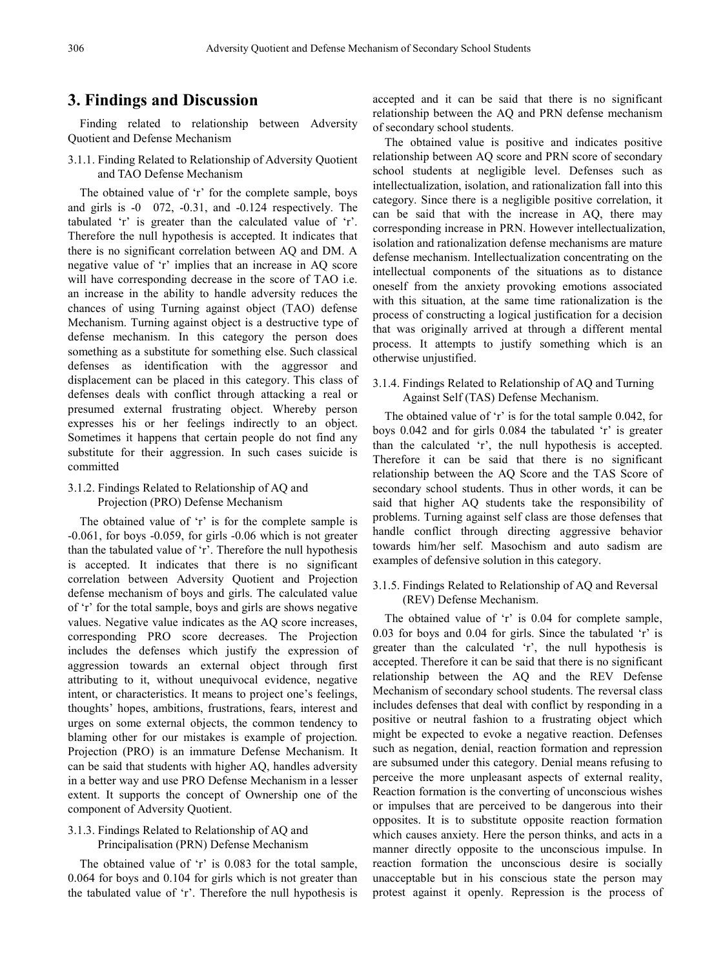## **3. Findings and Discussion**

Finding related to relationship between Adversity Quotient and Defense Mechanism

3.1.1. Finding Related to Relationship of Adversity Quotient and TAO Defense Mechanism

The obtained value of 'r' for the complete sample, boys and girls is -0 072, -0.31, and -0.124 respectively. The tabulated 'r' is greater than the calculated value of 'r'. Therefore the null hypothesis is accepted. It indicates that there is no significant correlation between AQ and DM. A negative value of 'r' implies that an increase in AQ score will have corresponding decrease in the score of TAO i.e. an increase in the ability to handle adversity reduces the chances of using Turning against object (TAO) defense Mechanism. Turning against object is a destructive type of defense mechanism. In this category the person does something as a substitute for something else. Such classical defenses as identification with the aggressor and displacement can be placed in this category. This class of defenses deals with conflict through attacking a real or presumed external frustrating object. Whereby person expresses his or her feelings indirectly to an object. Sometimes it happens that certain people do not find any substitute for their aggression. In such cases suicide is committed

#### 3.1.2. Findings Related to Relationship of AQ and Projection (PRO) Defense Mechanism

The obtained value of 'r' is for the complete sample is -0.061, for boys -0.059, for girls -0.06 which is not greater than the tabulated value of 'r'. Therefore the null hypothesis is accepted. It indicates that there is no significant correlation between Adversity Quotient and Projection defense mechanism of boys and girls. The calculated value of 'r' for the total sample, boys and girls are shows negative values. Negative value indicates as the AQ score increases, corresponding PRO score decreases. The Projection includes the defenses which justify the expression of aggression towards an external object through first attributing to it, without unequivocal evidence, negative intent, or characteristics. It means to project one's feelings, thoughts' hopes, ambitions, frustrations, fears, interest and urges on some external objects, the common tendency to blaming other for our mistakes is example of projection. Projection (PRO) is an immature Defense Mechanism. It can be said that students with higher AQ, handles adversity in a better way and use PRO Defense Mechanism in a lesser extent. It supports the concept of Ownership one of the component of Adversity Quotient.

#### 3.1.3. Findings Related to Relationship of AQ and Principalisation (PRN) Defense Mechanism

The obtained value of 'r' is 0.083 for the total sample, 0.064 for boys and 0.104 for girls which is not greater than the tabulated value of 'r'. Therefore the null hypothesis is

accepted and it can be said that there is no significant relationship between the AQ and PRN defense mechanism of secondary school students.

The obtained value is positive and indicates positive relationship between AQ score and PRN score of secondary school students at negligible level. Defenses such as intellectualization, isolation, and rationalization fall into this category. Since there is a negligible positive correlation, it can be said that with the increase in AQ, there may corresponding increase in PRN. However intellectualization, isolation and rationalization defense mechanisms are mature defense mechanism. Intellectualization concentrating on the intellectual components of the situations as to distance oneself from the anxiety provoking emotions associated with this situation, at the same time rationalization is the process of constructing a logical justification for a decision that was originally arrived at through a different mental process. It attempts to justify something which is an otherwise unjustified.

#### 3.1.4. Findings Related to Relationship of AQ and Turning Against Self (TAS) Defense Mechanism.

The obtained value of 'r' is for the total sample 0.042, for boys 0.042 and for girls 0.084 the tabulated 'r' is greater than the calculated 'r', the null hypothesis is accepted. Therefore it can be said that there is no significant relationship between the AQ Score and the TAS Score of secondary school students. Thus in other words, it can be said that higher AQ students take the responsibility of problems. Turning against self class are those defenses that handle conflict through directing aggressive behavior towards him/her self. Masochism and auto sadism are examples of defensive solution in this category.

## 3.1.5. Findings Related to Relationship of AQ and Reversal (REV) Defense Mechanism.

The obtained value of 'r' is 0.04 for complete sample, 0.03 for boys and 0.04 for girls. Since the tabulated 'r' is greater than the calculated 'r', the null hypothesis is accepted. Therefore it can be said that there is no significant relationship between the AQ and the REV Defense Mechanism of secondary school students. The reversal class includes defenses that deal with conflict by responding in a positive or neutral fashion to a frustrating object which might be expected to evoke a negative reaction. Defenses such as negation, denial, reaction formation and repression are subsumed under this category. Denial means refusing to perceive the more unpleasant aspects of external reality, Reaction formation is the converting of unconscious wishes or impulses that are perceived to be dangerous into their opposites. It is to substitute opposite reaction formation which causes anxiety. Here the person thinks, and acts in a manner directly opposite to the unconscious impulse. In reaction formation the unconscious desire is socially unacceptable but in his conscious state the person may protest against it openly. Repression is the process of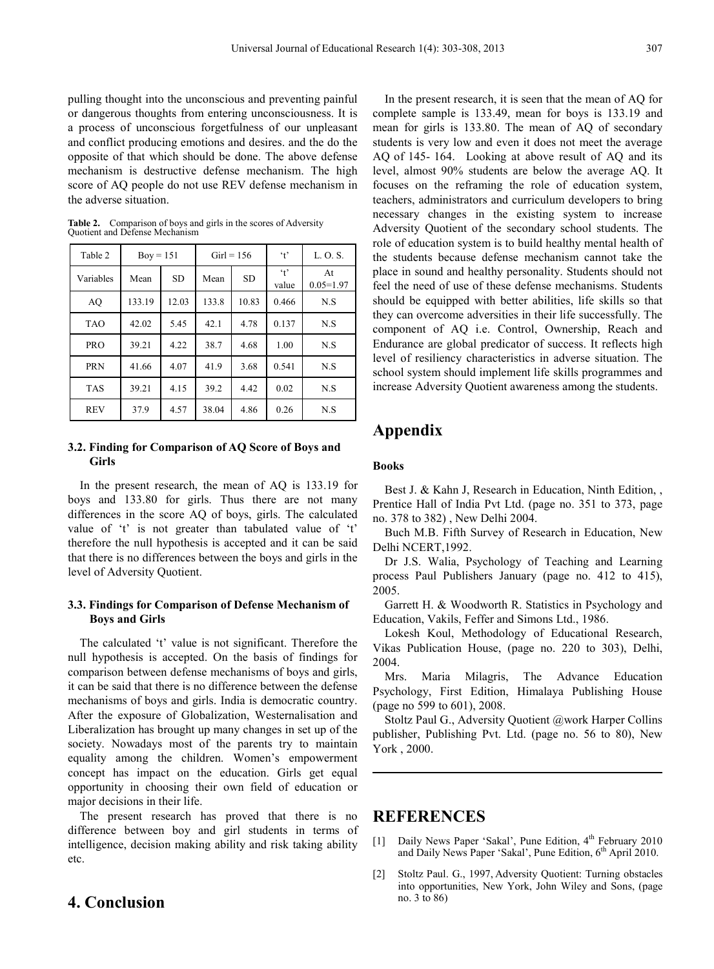pulling thought into the unconscious and preventing painful or dangerous thoughts from entering unconsciousness. It is a process of unconscious forgetfulness of our unpleasant and conflict producing emotions and desires. and the do the opposite of that which should be done. The above defense mechanism is destructive defense mechanism. The high score of AQ people do not use REV defense mechanism in the adverse situation.

| Table 2    | $Box = 151$ |           | $Girl = 156$ |           | $\cdot$ <sub>t</sub>          | L. O. S.            |
|------------|-------------|-----------|--------------|-----------|-------------------------------|---------------------|
| Variables  | Mean        | <b>SD</b> | Mean         | <b>SD</b> | $\cdot$ <sub>t</sub><br>value | At<br>$0.05 = 1.97$ |
| AO         | 133.19      | 12.03     | 133.8        | 10.83     | 0.466                         | N.S                 |
| <b>TAO</b> | 42.02       | 5.45      | 42.1         | 4.78      | 0.137                         | N.S                 |
| <b>PRO</b> | 39.21       | 4.22      | 38.7         | 4.68      | 1.00                          | N.S                 |
| <b>PRN</b> | 41.66       | 4.07      | 41.9         | 3.68      | 0.541                         | N.S                 |
| <b>TAS</b> | 39.21       | 4.15      | 39.2         | 4.42      | 0.02                          | N.S                 |
| <b>REV</b> | 37.9        | 4.57      | 38.04        | 4.86      | 0.26                          | N.S                 |

**Table 2.** Comparison of boys and girls in the scores of Adversity Quotient and Defense Mechanism

### **3.2. Finding for Comparison of AQ Score of Boys and Girls**

In the present research, the mean of AQ is 133.19 for boys and 133.80 for girls. Thus there are not many differences in the score AQ of boys, girls. The calculated value of 't' is not greater than tabulated value of 't' therefore the null hypothesis is accepted and it can be said that there is no differences between the boys and girls in the level of Adversity Quotient.

## **3.3. Findings for Comparison of Defense Mechanism of Boys and Girls**

The calculated 't' value is not significant. Therefore the null hypothesis is accepted. On the basis of findings for comparison between defense mechanisms of boys and girls, it can be said that there is no difference between the defense mechanisms of boys and girls. India is democratic country. After the exposure of Globalization, Westernalisation and Liberalization has brought up many changes in set up of the society. Nowadays most of the parents try to maintain equality among the children. Women's empowerment concept has impact on the education. Girls get equal opportunity in choosing their own field of education or major decisions in their life.

The present research has proved that there is no difference between boy and girl students in terms of intelligence, decision making ability and risk taking ability etc.

# **4. Conclusion**

In the present research, it is seen that the mean of AQ for complete sample is 133.49, mean for boys is 133.19 and mean for girls is 133.80. The mean of AQ of secondary students is very low and even it does not meet the average AQ of 145- 164. Looking at above result of AQ and its level, almost 90% students are below the average AQ. It focuses on the reframing the role of education system, teachers, administrators and curriculum developers to bring necessary changes in the existing system to increase Adversity Quotient of the secondary school students. The role of education system is to build healthy mental health of the students because defense mechanism cannot take the place in sound and healthy personality. Students should not feel the need of use of these defense mechanisms. Students should be equipped with better abilities, life skills so that they can overcome adversities in their life successfully. The component of AQ i.e. Control, Ownership, Reach and Endurance are global predicator of success. It reflects high level of resiliency characteristics in adverse situation. The school system should implement life skills programmes and increase Adversity Quotient awareness among the students.

# **Appendix**

## **Books**

Best J. & Kahn J, Research in Education, Ninth Edition, , Prentice Hall of India Pvt Ltd. (page no. 351 to 373, page no. 378 to 382) , New Delhi 2004.

Buch M.B. Fifth Survey of Research in Education, New Delhi NCERT,1992.

Dr J.S. Walia, Psychology of Teaching and Learning process Paul Publishers January (page no. 412 to 415), 2005.

Garrett H. & Woodworth R. Statistics in Psychology and Education, Vakils, Feffer and Simons Ltd., 1986.

Lokesh Koul, Methodology of Educational Research, Vikas Publication House, (page no. 220 to 303), Delhi, 2004.

Mrs. Maria Milagris, The Advance Education Psychology, First Edition, Himalaya Publishing House (page no 599 to 601), 2008.

Stoltz Paul G., Adversity Quotient @work Harper Collins publisher, Publishing Pvt. Ltd. (page no. 56 to 80), New York , 2000.

## **REFERENCES**

- [1] Daily News Paper 'Sakal', Pune Edition, 4<sup>th</sup> February 2010 and Daily News Paper 'Sakal', Pune Edition, 6<sup>th</sup> April 2010.
- [2] Stoltz Paul. G., 1997, Adversity Quotient: Turning obstacles into opportunities, New York, John Wiley and Sons, (page no. 3 to 86)